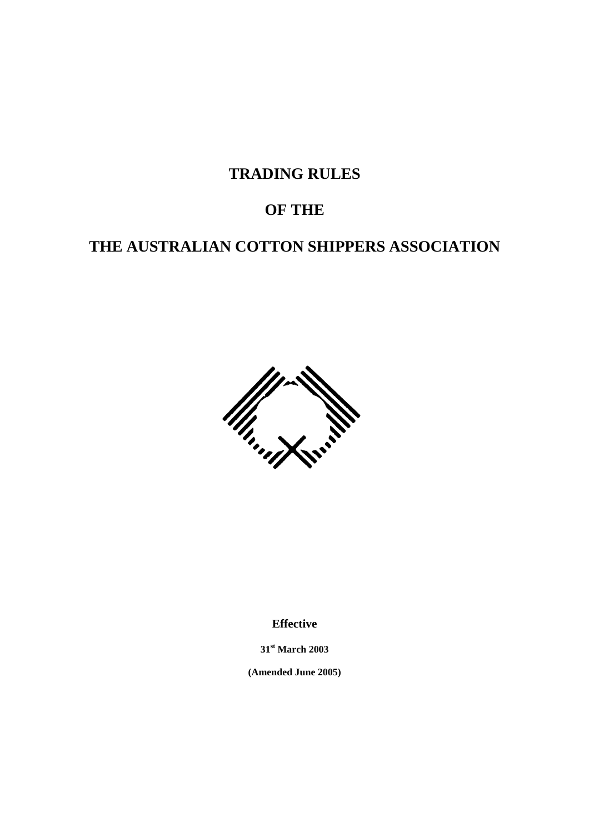**TRADING RULES** 

# **OF THE**

# **THE AUSTRALIAN COTTON SHIPPERS ASSOCIATION**



**Effective** 

**31st March 2003** 

**(Amended June 2005)**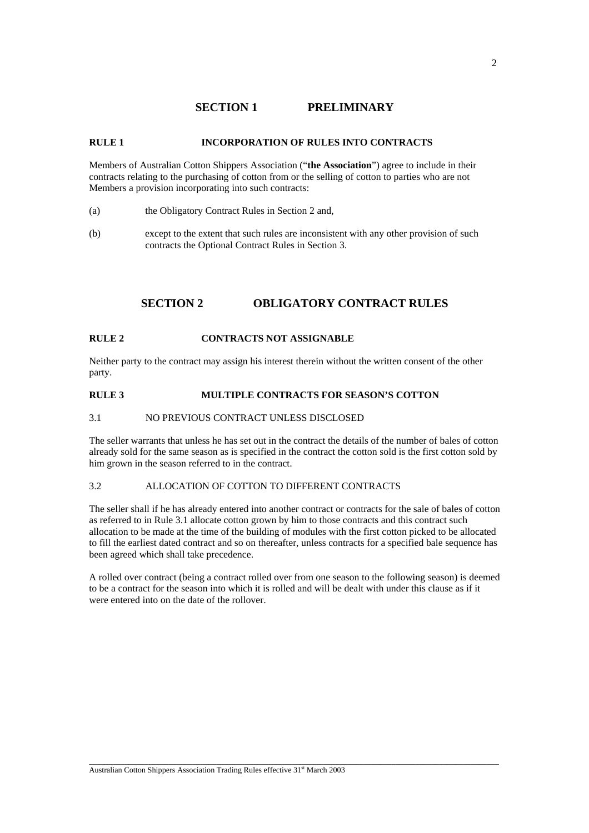# **SECTION 1 PRELIMINARY**

## **RULE 1 INCORPORATION OF RULES INTO CONTRACTS**

Members of Australian Cotton Shippers Association ("**the Association**") agree to include in their contracts relating to the purchasing of cotton from or the selling of cotton to parties who are not Members a provision incorporating into such contracts:

- (a) the Obligatory Contract Rules in Section 2 and,
- (b) except to the extent that such rules are inconsistent with any other provision of such contracts the Optional Contract Rules in Section 3.

## **SECTION 2 OBLIGATORY CONTRACT RULES**

#### **RULE 2 CONTRACTS NOT ASSIGNABLE**

Neither party to the contract may assign his interest therein without the written consent of the other party.

## **RULE 3 MULTIPLE CONTRACTS FOR SEASON'S COTTON**

## 3.1 NO PREVIOUS CONTRACT UNLESS DISCLOSED

The seller warrants that unless he has set out in the contract the details of the number of bales of cotton already sold for the same season as is specified in the contract the cotton sold is the first cotton sold by him grown in the season referred to in the contract.

### 3.2 ALLOCATION OF COTTON TO DIFFERENT CONTRACTS

The seller shall if he has already entered into another contract or contracts for the sale of bales of cotton as referred to in Rule 3.1 allocate cotton grown by him to those contracts and this contract such allocation to be made at the time of the building of modules with the first cotton picked to be allocated to fill the earliest dated contract and so on thereafter, unless contracts for a specified bale sequence has been agreed which shall take precedence.

A rolled over contract (being a contract rolled over from one season to the following season) is deemed to be a contract for the season into which it is rolled and will be dealt with under this clause as if it were entered into on the date of the rollover.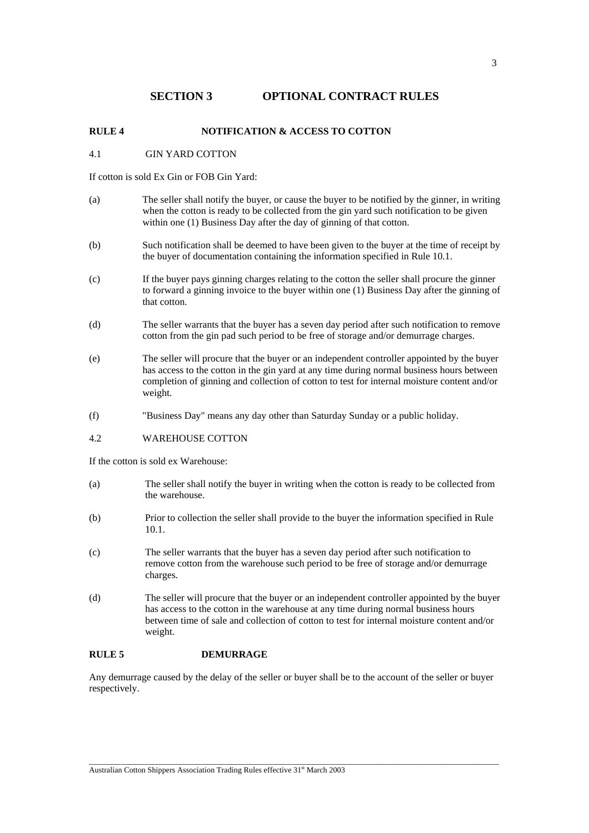# **SECTION 3 OPTIONAL CONTRACT RULES**

#### **RULE 4 NOTIFICATION & ACCESS TO COTTON**

#### 4.1 GIN YARD COTTON

If cotton is sold Ex Gin or FOB Gin Yard:

- (a) The seller shall notify the buyer, or cause the buyer to be notified by the ginner, in writing when the cotton is ready to be collected from the gin yard such notification to be given within one (1) Business Day after the day of ginning of that cotton.
- (b) Such notification shall be deemed to have been given to the buyer at the time of receipt by the buyer of documentation containing the information specified in Rule 10.1.
- (c) If the buyer pays ginning charges relating to the cotton the seller shall procure the ginner to forward a ginning invoice to the buyer within one (1) Business Day after the ginning of that cotton.
- (d) The seller warrants that the buyer has a seven day period after such notification to remove cotton from the gin pad such period to be free of storage and/or demurrage charges.
- (e) The seller will procure that the buyer or an independent controller appointed by the buyer has access to the cotton in the gin yard at any time during normal business hours between completion of ginning and collection of cotton to test for internal moisture content and/or weight.
- (f) "Business Day" means any day other than Saturday Sunday or a public holiday.
- 4.2 WAREHOUSE COTTON

If the cotton is sold ex Warehouse:

- (a) The seller shall notify the buyer in writing when the cotton is ready to be collected from the warehouse.
- (b) Prior to collection the seller shall provide to the buyer the information specified in Rule 10.1.
- (c) The seller warrants that the buyer has a seven day period after such notification to remove cotton from the warehouse such period to be free of storage and/or demurrage charges.
- (d) The seller will procure that the buyer or an independent controller appointed by the buyer has access to the cotton in the warehouse at any time during normal business hours between time of sale and collection of cotton to test for internal moisture content and/or weight.

## **RULE 5 DEMURRAGE**

Any demurrage caused by the delay of the seller or buyer shall be to the account of the seller or buyer respectively.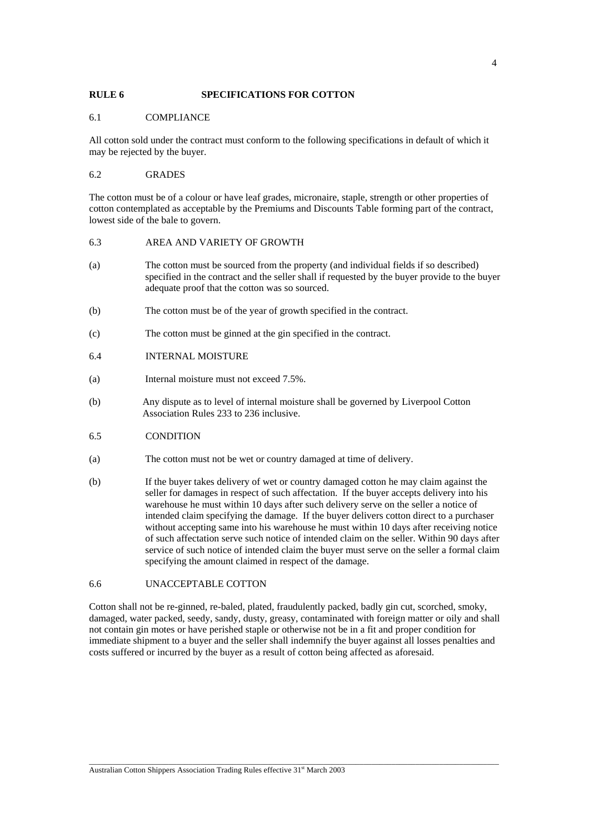#### **RULE 6 SPECIFICATIONS FOR COTTON**

#### 6.1 COMPLIANCE

All cotton sold under the contract must conform to the following specifications in default of which it may be rejected by the buyer.

#### 6.2 GRADES

The cotton must be of a colour or have leaf grades, micronaire, staple, strength or other properties of cotton contemplated as acceptable by the Premiums and Discounts Table forming part of the contract, lowest side of the bale to govern.

#### 6.3 AREA AND VARIETY OF GROWTH

- (a) The cotton must be sourced from the property (and individual fields if so described) specified in the contract and the seller shall if requested by the buyer provide to the buyer adequate proof that the cotton was so sourced.
- (b) The cotton must be of the year of growth specified in the contract.
- (c) The cotton must be ginned at the gin specified in the contract.
- 6.4 INTERNAL MOISTURE
- (a) Internal moisture must not exceed 7.5%.
- (b) Any dispute as to level of internal moisture shall be governed by Liverpool Cotton Association Rules 233 to 236 inclusive.
- 6.5 CONDITION
- (a) The cotton must not be wet or country damaged at time of delivery.
- (b) If the buyer takes delivery of wet or country damaged cotton he may claim against the seller for damages in respect of such affectation. If the buyer accepts delivery into his warehouse he must within 10 days after such delivery serve on the seller a notice of intended claim specifying the damage. If the buyer delivers cotton direct to a purchaser without accepting same into his warehouse he must within 10 days after receiving notice of such affectation serve such notice of intended claim on the seller. Within 90 days after service of such notice of intended claim the buyer must serve on the seller a formal claim specifying the amount claimed in respect of the damage.

## 6.6 UNACCEPTABLE COTTON

Cotton shall not be re-ginned, re-baled, plated, fraudulently packed, badly gin cut, scorched, smoky, damaged, water packed, seedy, sandy, dusty, greasy, contaminated with foreign matter or oily and shall not contain gin motes or have perished staple or otherwise not be in a fit and proper condition for immediate shipment to a buyer and the seller shall indemnify the buyer against all losses penalties and costs suffered or incurred by the buyer as a result of cotton being affected as aforesaid.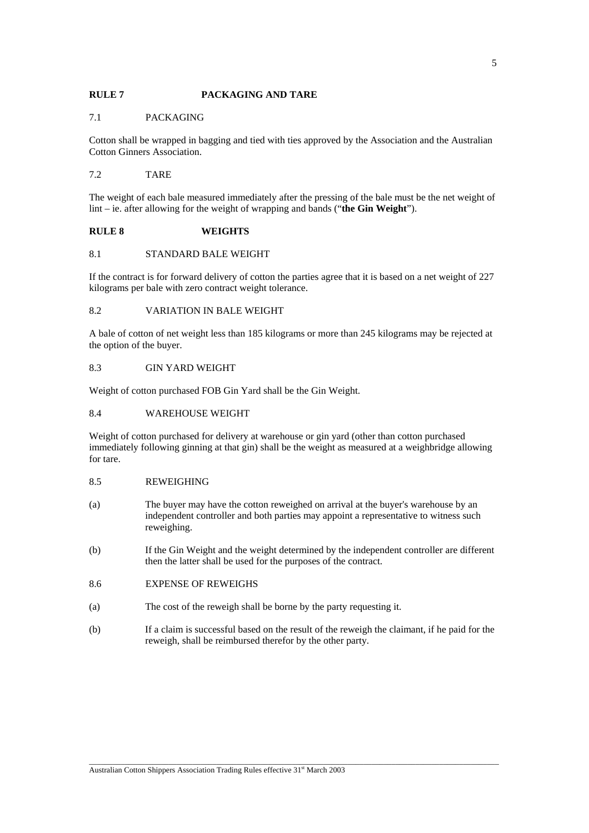## **RULE 7 PACKAGING AND TARE**

#### 7.1 PACKAGING

Cotton shall be wrapped in bagging and tied with ties approved by the Association and the Australian Cotton Ginners Association.

#### 7.2 TARE

The weight of each bale measured immediately after the pressing of the bale must be the net weight of lint – ie. after allowing for the weight of wrapping and bands ("**the Gin Weight**").

#### **RULE 8 WEIGHTS**

## 8.1 STANDARD BALE WEIGHT

If the contract is for forward delivery of cotton the parties agree that it is based on a net weight of 227 kilograms per bale with zero contract weight tolerance.

#### 8.2 VARIATION IN BALE WEIGHT

A bale of cotton of net weight less than 185 kilograms or more than 245 kilograms may be rejected at the option of the buyer.

#### 8.3 GIN YARD WEIGHT

Weight of cotton purchased FOB Gin Yard shall be the Gin Weight.

#### 8.4 WAREHOUSE WEIGHT

Weight of cotton purchased for delivery at warehouse or gin yard (other than cotton purchased immediately following ginning at that gin) shall be the weight as measured at a weighbridge allowing for tare.

## 8.5 REWEIGHING

- (a) The buyer may have the cotton reweighed on arrival at the buyer's warehouse by an independent controller and both parties may appoint a representative to witness such reweighing.
- (b) If the Gin Weight and the weight determined by the independent controller are different then the latter shall be used for the purposes of the contract.

## 8.6 EXPENSE OF REWEIGHS

- (a) The cost of the reweigh shall be borne by the party requesting it.
- (b) If a claim is successful based on the result of the reweigh the claimant, if he paid for the reweigh, shall be reimbursed therefor by the other party.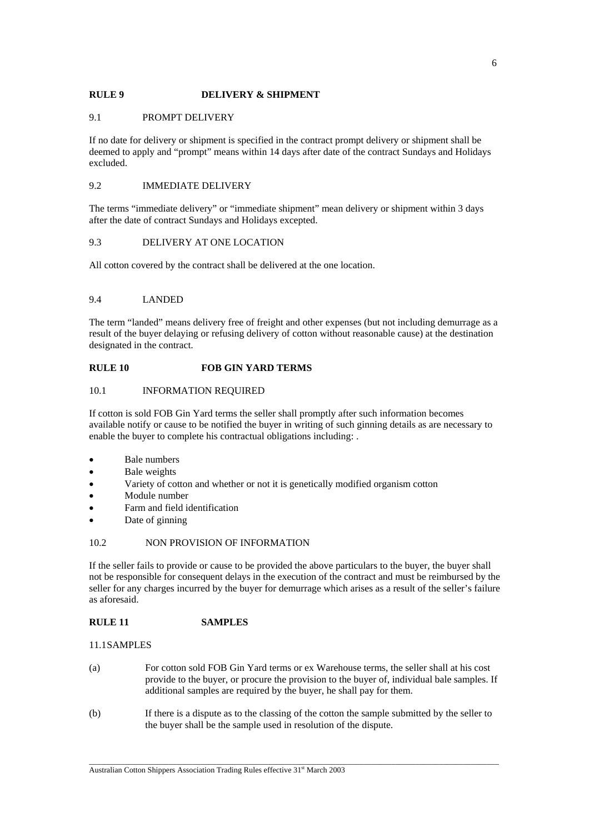## **RULE 9 DELIVERY & SHIPMENT**

#### 9.1 PROMPT DELIVERY

If no date for delivery or shipment is specified in the contract prompt delivery or shipment shall be deemed to apply and "prompt" means within 14 days after date of the contract Sundays and Holidays excluded.

#### 9.2 IMMEDIATE DELIVERY

The terms "immediate delivery" or "immediate shipment" mean delivery or shipment within 3 days after the date of contract Sundays and Holidays excepted.

## 9.3 DELIVERY AT ONE LOCATION

All cotton covered by the contract shall be delivered at the one location.

#### 9.4 LANDED

The term "landed" means delivery free of freight and other expenses (but not including demurrage as a result of the buyer delaying or refusing delivery of cotton without reasonable cause) at the destination designated in the contract.

## **RULE 10 FOB GIN YARD TERMS**

## 10.1 INFORMATION REQUIRED

If cotton is sold FOB Gin Yard terms the seller shall promptly after such information becomes available notify or cause to be notified the buyer in writing of such ginning details as are necessary to enable the buyer to complete his contractual obligations including: .

- Bale numbers
- Bale weights
- Variety of cotton and whether or not it is genetically modified organism cotton
- Module number
- Farm and field identification
- Date of ginning

#### 10.2 NON PROVISION OF INFORMATION

If the seller fails to provide or cause to be provided the above particulars to the buyer, the buyer shall not be responsible for consequent delays in the execution of the contract and must be reimbursed by the seller for any charges incurred by the buyer for demurrage which arises as a result of the seller's failure as aforesaid.

## **RULE 11 SAMPLES**

11.1 SAMPLES

- (a) For cotton sold FOB Gin Yard terms or ex Warehouse terms, the seller shall at his cost provide to the buyer, or procure the provision to the buyer of, individual bale samples. If additional samples are required by the buyer, he shall pay for them.
- (b) If there is a dispute as to the classing of the cotton the sample submitted by the seller to the buyer shall be the sample used in resolution of the dispute.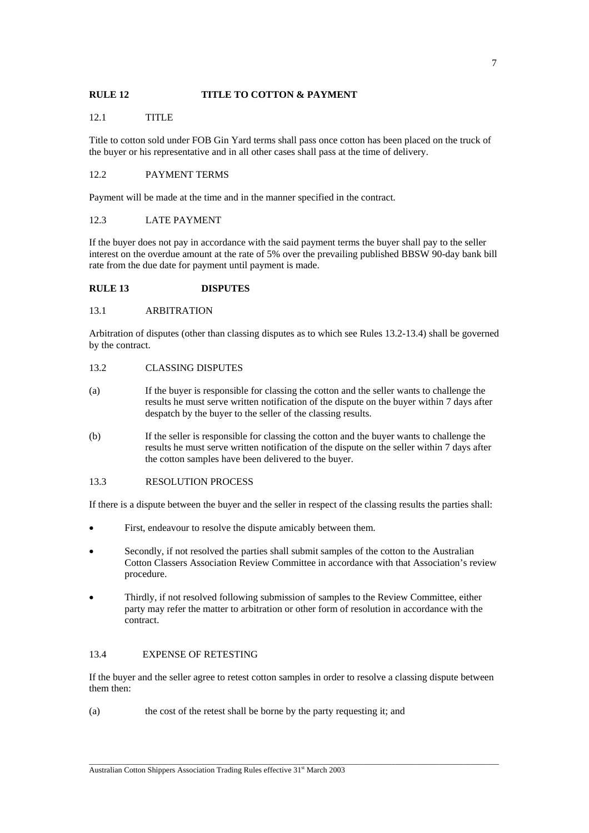## **RULE 12 TITLE TO COTTON & PAYMENT**

## 12.1 TITLE

Title to cotton sold under FOB Gin Yard terms shall pass once cotton has been placed on the truck of the buyer or his representative and in all other cases shall pass at the time of delivery.

## 12.2 PAYMENT TERMS

Payment will be made at the time and in the manner specified in the contract.

## 12.3 LATE PAYMENT

If the buyer does not pay in accordance with the said payment terms the buyer shall pay to the seller interest on the overdue amount at the rate of 5% over the prevailing published BBSW 90-day bank bill rate from the due date for payment until payment is made.

#### **RULE 13 DISPUTES**

#### 13.1 ARBITRATION

Arbitration of disputes (other than classing disputes as to which see Rules 13.2-13.4) shall be governed by the contract.

#### 13.2 CLASSING DISPUTES

- (a) If the buyer is responsible for classing the cotton and the seller wants to challenge the results he must serve written notification of the dispute on the buyer within 7 days after despatch by the buyer to the seller of the classing results.
- (b) If the seller is responsible for classing the cotton and the buyer wants to challenge the results he must serve written notification of the dispute on the seller within 7 days after the cotton samples have been delivered to the buyer.

## 13.3 RESOLUTION PROCESS

If there is a dispute between the buyer and the seller in respect of the classing results the parties shall:

- First, endeavour to resolve the dispute amicably between them.
- Secondly, if not resolved the parties shall submit samples of the cotton to the Australian Cotton Classers Association Review Committee in accordance with that Association's review procedure.
- Thirdly, if not resolved following submission of samples to the Review Committee, either party may refer the matter to arbitration or other form of resolution in accordance with the contract.

## 13.4 EXPENSE OF RETESTING

If the buyer and the seller agree to retest cotton samples in order to resolve a classing dispute between them then:

 $\_$  ,  $\_$  ,  $\_$  ,  $\_$  ,  $\_$  ,  $\_$  ,  $\_$  ,  $\_$  ,  $\_$  ,  $\_$  ,  $\_$  ,  $\_$  ,  $\_$  ,  $\_$  ,  $\_$  ,  $\_$  ,  $\_$  ,  $\_$  ,  $\_$  ,  $\_$  ,  $\_$  ,  $\_$  ,  $\_$  ,  $\_$  ,  $\_$  ,  $\_$  ,  $\_$  ,  $\_$  ,  $\_$  ,  $\_$  ,  $\_$  ,  $\_$  ,  $\_$  ,  $\_$  ,  $\_$  ,  $\_$  ,  $\_$  ,

(a) the cost of the retest shall be borne by the party requesting it; and